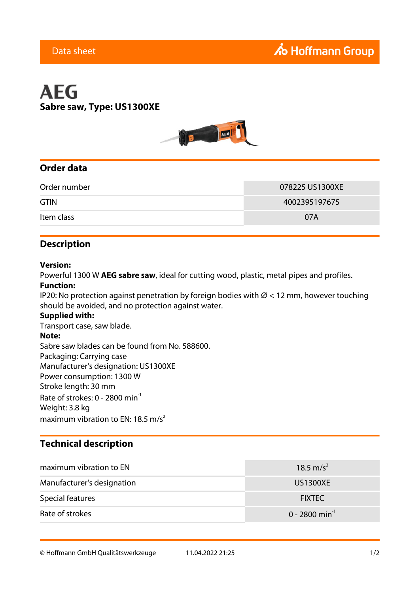# **AEG Sabre saw, Type: US1300XE**



## **Order data**

| Order number | 078225 US1300XE |
|--------------|-----------------|
| <b>GTIN</b>  | 4002395197675   |
| Item class   | 07A             |

#### **Description**

#### **Version:**

Powerful 1300 W **AEG sabre saw**, ideal for cutting wood, plastic, metal pipes and profiles.

#### **Function:**

IP20: No protection against penetration by foreign bodies with  $\varnothing$  < 12 mm, however touching should be avoided, and no protection against water.

#### **Supplied with:**

Transport case, saw blade. **Note:** Sabre saw blades can be found from No. 588600. Packaging: Carrying case Manufacturer's designation: US1300XE Power consumption: 1300 W Stroke length: 30 mm Rate of strokes:  $0 - 2800$  min<sup>-1</sup> Weight: 3.8 kg maximum vibration to EN: 18.5 m/s<sup>2</sup>

### **Technical description**

| maximum vibration to EN    | 18.5 m/s <sup>2</sup>      |
|----------------------------|----------------------------|
| Manufacturer's designation | <b>US1300XE</b>            |
| Special features           | <b>FIXTEC</b>              |
| Rate of strokes            | 0 - 2800 min <sup>-1</sup> |